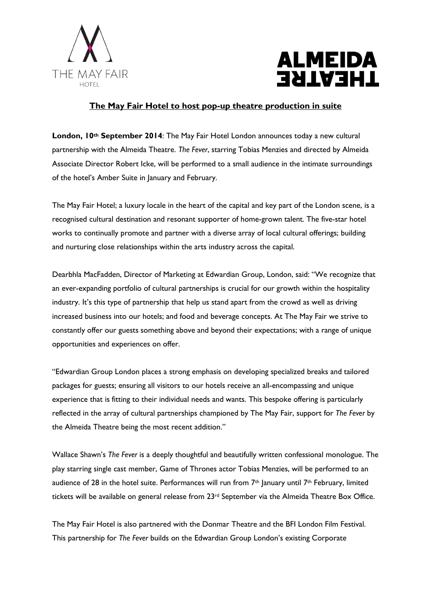



## **The May Fair Hotel to host pop-up theatre production in suite**

**London, 10th September 2014**: The May Fair Hotel London announces today a new cultural partnership with the Almeida Theatre. *The Fever*, starring Tobias Menzies and directed by Almeida Associate Director Robert Icke, will be performed to a small audience in the intimate surroundings of the hotel's Amber Suite in January and February.

The May Fair Hotel; a luxury locale in the heart of the capital and key part of the London scene, is a recognised cultural destination and resonant supporter of home-grown talent. The five-star hotel works to continually promote and partner with a diverse array of local cultural offerings; building and nurturing close relationships within the arts industry across the capital.

Dearbhla MacFadden, Director of Marketing at Edwardian Group, London, said: "We recognize that an ever-expanding portfolio of cultural partnerships is crucial for our growth within the hospitality industry. It's this type of partnership that help us stand apart from the crowd as well as driving increased business into our hotels; and food and beverage concepts. At The May Fair we strive to constantly offer our guests something above and beyond their expectations; with a range of unique opportunities and experiences on offer.

"Edwardian Group London places a strong emphasis on developing specialized breaks and tailored packages for guests; ensuring all visitors to our hotels receive an all-encompassing and unique experience that is fitting to their individual needs and wants. This bespoke offering is particularly reflected in the array of cultural partnerships championed by The May Fair, support for *The Fever* by the Almeida Theatre being the most recent addition."

Wallace Shawn's *The Fever* is a deeply thoughtful and beautifully written confessional monologue. The play starring single cast member, Game of Thrones actor Tobias Menzies, will be performed to an audience of 28 in the hotel suite. Performances will run from 7<sup>th</sup> January until 7<sup>th</sup> February, limited tickets will be available on general release from 23<sup>rd</sup> September via the Almeida Theatre Box Office.

The May Fair Hotel is also partnered with the Donmar Theatre and the BFI London Film Festival. This partnership for *The Fever* builds on the Edwardian Group London's existing Corporate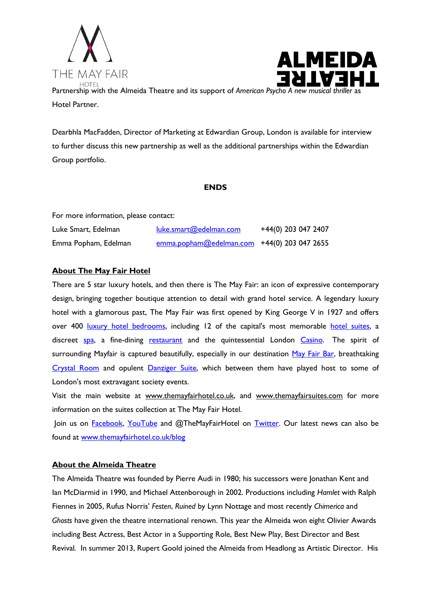



Partnership with the Almeida Theatre and its support of *American Psycho A new musical thrille* Hotel Partner.

Dearbhla MacFadden, Director of Marketing at Edwardian Group, London is available for interview to further discuss this new partnership as well as the additional partnerships within the Edwardian Group portfolio.

## **ENDS**

For more information, please contact:

| Luke Smart, Edelman  | luke.smart@edelman.com                        | +44(0) 203 047 2407 |
|----------------------|-----------------------------------------------|---------------------|
| Emma Popham, Edelman | $emma.popham@edelman.com$ +44(0) 203 047 2655 |                     |

## **About The May Fair Hotel**

There are 5 star luxury hotels, and then there is The May Fair: an icon of expressive contemporary design, bringing together boutique attention to detail with grand hotel service. A legendary luxury hotel with a glamorous past, The May Fair was first opened by King George V in 1927 and offers over 400 [luxury hotel bedrooms,](http://www.themayfairhotel.co.uk/rooms_and_suites) including 12 of the capital's most memorable [hotel suites,](http://www.themayfairsuites.com/) a discreet [spa,](http://www.themayfairhotel.co.uk/spa) a fine-dining [restaurant](http://www.themayfairhotel.co.uk/mayfairkitchen) and the quintessential London [Casino.](http://www.themayfairhotel.co.uk/casino) The spirit of surrounding Mayfair is captured beautifully, especially in our destination [May Fair Bar,](http://www.themayfairhotel.co.uk/bar) breathtaking [Crystal Room](http://www.themayfairhotel.co.uk/crystal) and opulent [Danziger Suite,](http://www.themayfairhotel.co.uk/danziger) which between them have played host to some of London's most extravagant society events.

Visit the main website at [www.themayfairhotel.co.uk,](http://www.themayfairhotel.co.uk/) and [www.themayfairsuites.com](http://www.themayfairsuites.com/) for more information on the suites collection at The May Fair Hotel.

Join us on **Facebook**, [YouTube](http://www.youtube.com/TheMayFairHotel) and @TheMayFairHotel on [Twitter.](http://www.twitter.com/TheMayFairHotel) Our latest news can also be found at [www.themayfairhotel.co.uk/blog](http://www.themayfairhotel.co.uk/blog)

## **About the Almeida Theatre**

The Almeida Theatre was founded by Pierre Audi in 1980; his successors were Jonathan Kent and Ian McDiarmid in 1990, and Michael Attenborough in 2002. Productions including *Hamlet* with Ralph Fiennes in 2005, Rufus Norris' *Festen*, *Ruined* by Lynn Nottage and most recently *Chimerica* and *Ghosts* have given the theatre international renown. This year the Almeida won eight Olivier Awards including Best Actress, Best Actor in a Supporting Role, Best New Play, Best Director and Best Revival*.* In summer 2013, Rupert Goold joined the Almeida from Headlong as Artistic Director. His